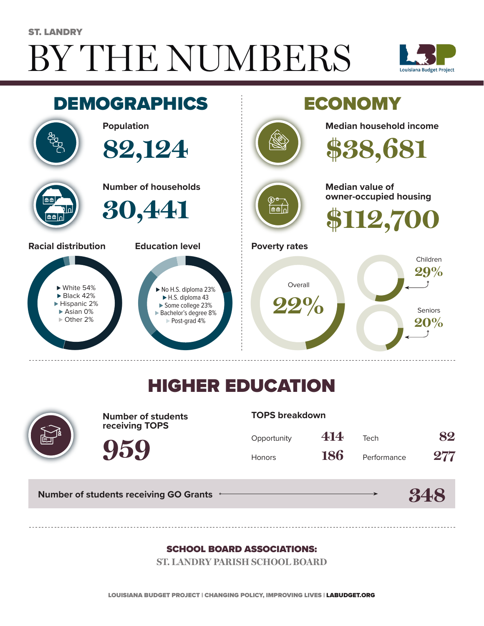# BY THE NUMBERS ST. LANDRY





## HIGHER EDUCATION



**Number of students receiving TOPS**

#### **TOPS breakdown**

| Opportunity   | 414        | Tech        | 82  |
|---------------|------------|-------------|-----|
| <b>Honors</b> | <b>186</b> | Performance | 277 |

**348**

**Number of students receiving GO Grants**

**959**

#### SCHOOL BOARD ASSOCIATIONS:

**ST. LANDRY PARISH SCHOOL BOARD**